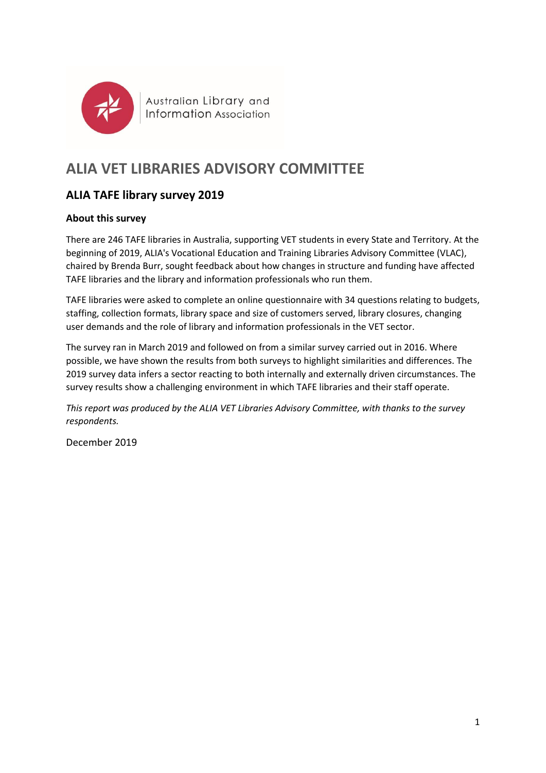

Australian Library and Information Association

# **ALIA VET LIBRARIES ADVISORY COMMITTEE**

## **ALIA TAFE library survey 2019**

## **About this survey**

There are 246 TAFE libraries in Australia, supporting VET students in every State and Territory. At the beginning of 2019, ALIA's Vocational Education and Training Libraries Advisory Committee (VLAC), chaired by Brenda Burr, sought feedback about how changes in structure and funding have affected TAFE libraries and the library and information professionals who run them.

TAFE libraries were asked to complete an online questionnaire with 34 questions relating to budgets, staffing, collection formats, library space and size of customers served, library closures, changing user demands and the role of library and information professionals in the VET sector.

The survey ran in March 2019 and followed on from a similar survey carried out in 2016. Where possible, we have shown the results from both surveys to highlight similarities and differences. The 2019 survey data infers a sector reacting to both internally and externally driven circumstances. The survey results show a challenging environment in which TAFE libraries and their staff operate.

*This report was produced by the ALIA VET Libraries Advisory Committee, with thanks to the survey respondents.*

December 2019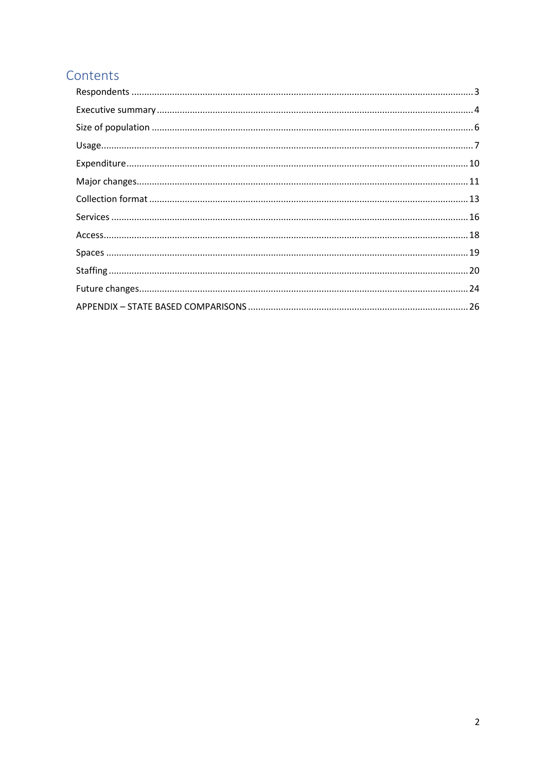## Contents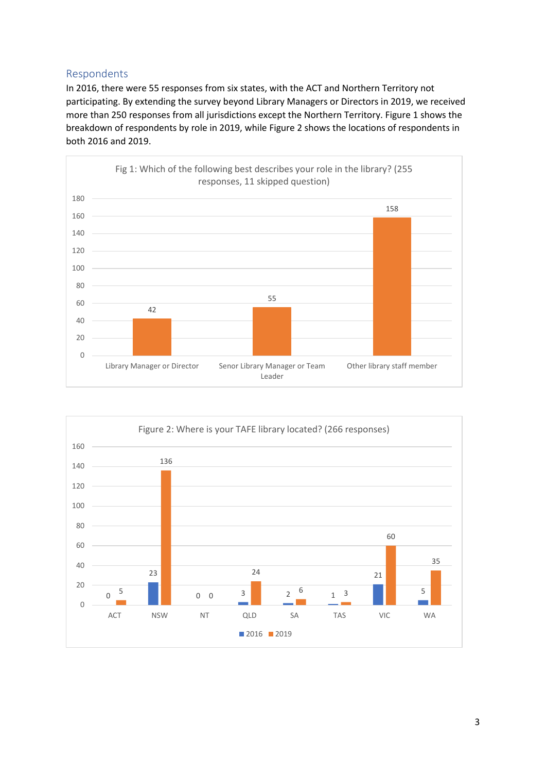## <span id="page-2-0"></span>Respondents

In 2016, there were 55 responses from six states, with the ACT and Northern Territory not participating. By extending the survey beyond Library Managers or Directors in 2019, we received more than 250 responses from all jurisdictions except the Northern Territory. Figure 1 shows the breakdown of respondents by role in 2019, while Figure 2 shows the locations of respondents in both 2016 and 2019.



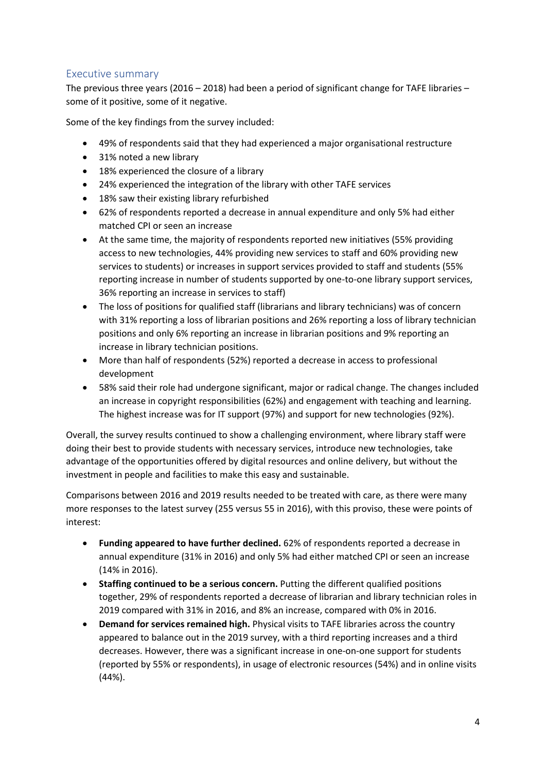## <span id="page-3-0"></span>Executive summary

The previous three years (2016 – 2018) had been a period of significant change for TAFE libraries – some of it positive, some of it negative.

Some of the key findings from the survey included:

- 49% of respondents said that they had experienced a major organisational restructure
- 31% noted a new library
- 18% experienced the closure of a library
- 24% experienced the integration of the library with other TAFE services
- 18% saw their existing library refurbished
- 62% of respondents reported a decrease in annual expenditure and only 5% had either matched CPI or seen an increase
- At the same time, the majority of respondents reported new initiatives (55% providing access to new technologies, 44% providing new services to staff and 60% providing new services to students) or increases in support services provided to staff and students (55% reporting increase in number of students supported by one-to-one library support services, 36% reporting an increase in services to staff)
- The loss of positions for qualified staff (librarians and library technicians) was of concern with 31% reporting a loss of librarian positions and 26% reporting a loss of library technician positions and only 6% reporting an increase in librarian positions and 9% reporting an increase in library technician positions.
- More than half of respondents (52%) reported a decrease in access to professional development
- 58% said their role had undergone significant, major or radical change. The changes included an increase in copyright responsibilities (62%) and engagement with teaching and learning. The highest increase was for IT support (97%) and support for new technologies (92%).

Overall, the survey results continued to show a challenging environment, where library staff were doing their best to provide students with necessary services, introduce new technologies, take advantage of the opportunities offered by digital resources and online delivery, but without the investment in people and facilities to make this easy and sustainable.

Comparisons between 2016 and 2019 results needed to be treated with care, as there were many more responses to the latest survey (255 versus 55 in 2016), with this proviso, these were points of interest:

- **Funding appeared to have further declined.** 62% of respondents reported a decrease in annual expenditure (31% in 2016) and only 5% had either matched CPI or seen an increase (14% in 2016).
- **Staffing continued to be a serious concern.** Putting the different qualified positions together, 29% of respondents reported a decrease of librarian and library technician roles in 2019 compared with 31% in 2016, and 8% an increase, compared with 0% in 2016.
- **Demand for services remained high.** Physical visits to TAFE libraries across the country appeared to balance out in the 2019 survey, with a third reporting increases and a third decreases. However, there was a significant increase in one-on-one support for students (reported by 55% or respondents), in usage of electronic resources (54%) and in online visits (44%).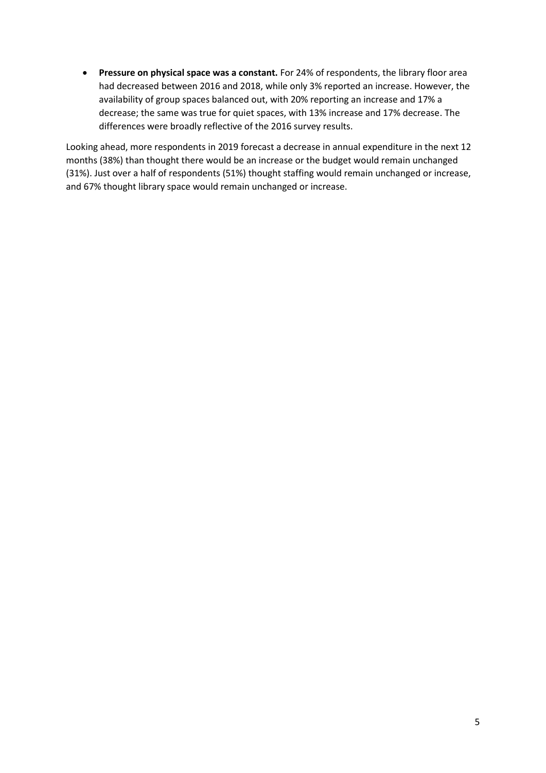• **Pressure on physical space was a constant.** For 24% of respondents, the library floor area had decreased between 2016 and 2018, while only 3% reported an increase. However, the availability of group spaces balanced out, with 20% reporting an increase and 17% a decrease; the same was true for quiet spaces, with 13% increase and 17% decrease. The differences were broadly reflective of the 2016 survey results.

Looking ahead, more respondents in 2019 forecast a decrease in annual expenditure in the next 12 months (38%) than thought there would be an increase or the budget would remain unchanged (31%). Just over a half of respondents (51%) thought staffing would remain unchanged or increase, and 67% thought library space would remain unchanged or increase.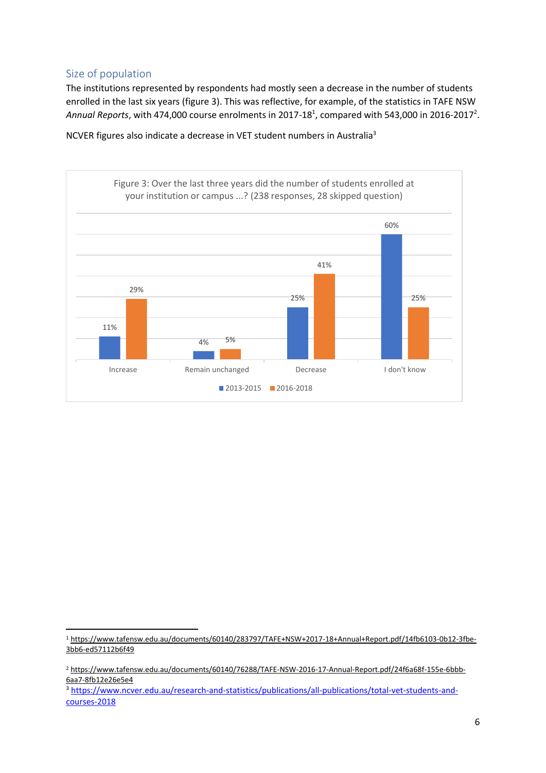## <span id="page-5-0"></span>Size of population

The institutions represented by respondents had mostly seen a decrease in the number of students enrolled in the last six years (figure 3). This was reflective, for example, of the statistics in TAFE NSW Annual Reports, with 474,000 course enrolments in 2017-18<sup>1</sup>, compared with 543,000 in 2016-2017<sup>2</sup>.

NCVER figures also indicate a decrease in VET student numbers in Australia<sup>3</sup>



<sup>1</sup> [https://www.tafensw.edu.au/documents/60140/283797/TAFE+NSW+2017-18+Annual+Report.pdf/14fb6103-0b12-3fbe-](https://www.tafensw.edu.au/documents/60140/283797/TAFE+NSW+2017-18+Annual+Report.pdf/14fb6103-0b12-3fbe-3bb6-ed57112b6f49)[3bb6-ed57112b6f49](https://www.tafensw.edu.au/documents/60140/283797/TAFE+NSW+2017-18+Annual+Report.pdf/14fb6103-0b12-3fbe-3bb6-ed57112b6f49)

<sup>2</sup> [https://www.tafensw.edu.au/documents/60140/76288/TAFE-NSW-2016-17-Annual-Report.pdf/24f6a68f-155e-6bbb-](https://www.tafensw.edu.au/documents/60140/76288/TAFE-NSW-2016-17-Annual-Report.pdf/24f6a68f-155e-6bbb-6aa7-8fb12e26e5e4)[6aa7-8fb12e26e5e4](https://www.tafensw.edu.au/documents/60140/76288/TAFE-NSW-2016-17-Annual-Report.pdf/24f6a68f-155e-6bbb-6aa7-8fb12e26e5e4)

<sup>3</sup> [https://www.ncver.edu.au/research-and-statistics/publications/all-publications/total-vet-students-and](https://www.ncver.edu.au/research-and-statistics/publications/all-publications/total-vet-students-and-courses-2018)[courses-2018](https://www.ncver.edu.au/research-and-statistics/publications/all-publications/total-vet-students-and-courses-2018)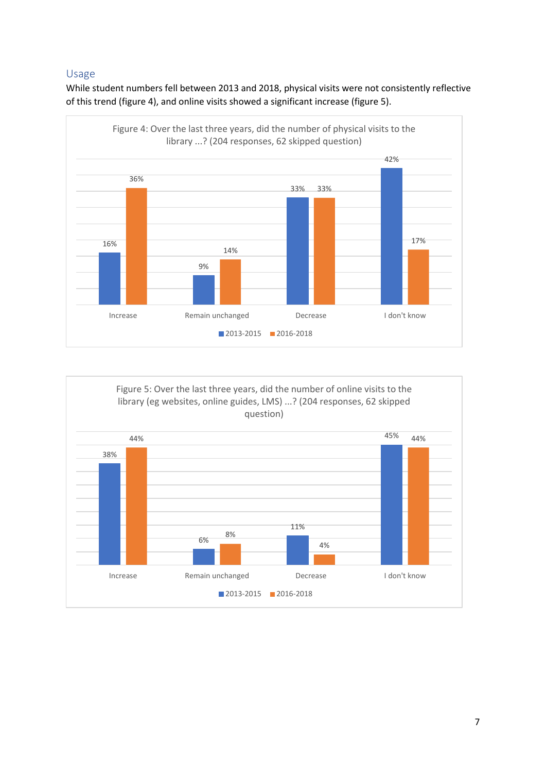## <span id="page-6-0"></span>Usage

While student numbers fell between 2013 and 2018, physical visits were not consistently reflective of this trend (figure 4), and online visits showed a significant increase (figure 5).



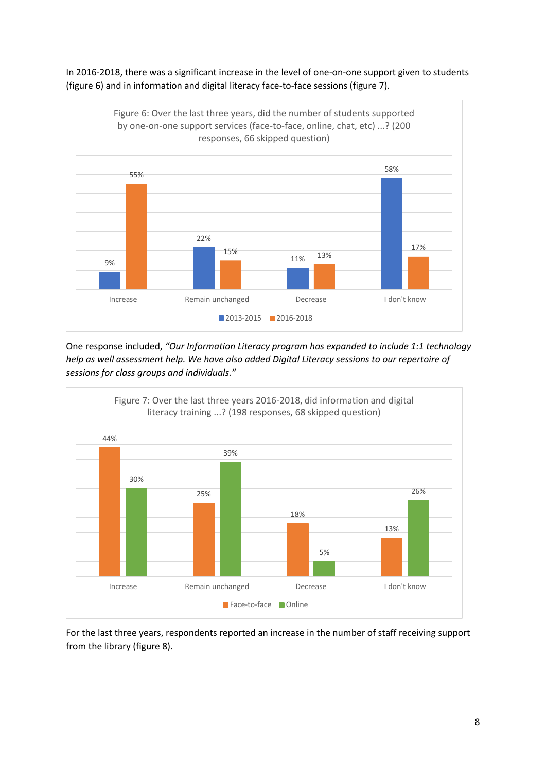

In 2016-2018, there was a significant increase in the level of one-on-one support given to students (figure 6) and in information and digital literacy face-to-face sessions (figure 7).

One response included, *"Our Information Literacy program has expanded to include 1:1 technology help as well assessment help. We have also added Digital Literacy sessions to our repertoire of sessions for class groups and individuals."*



For the last three years, respondents reported an increase in the number of staff receiving support from the library (figure 8).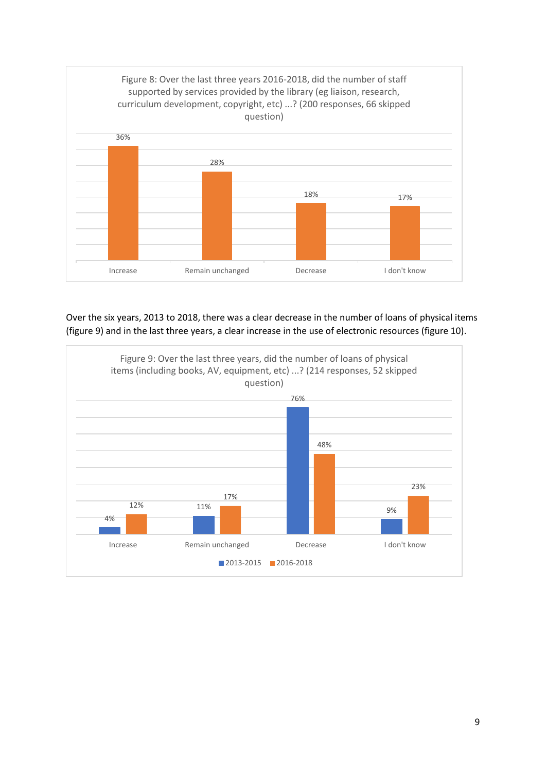

Over the six years, 2013 to 2018, there was a clear decrease in the number of loans of physical items (figure 9) and in the last three years, a clear increase in the use of electronic resources (figure 10).

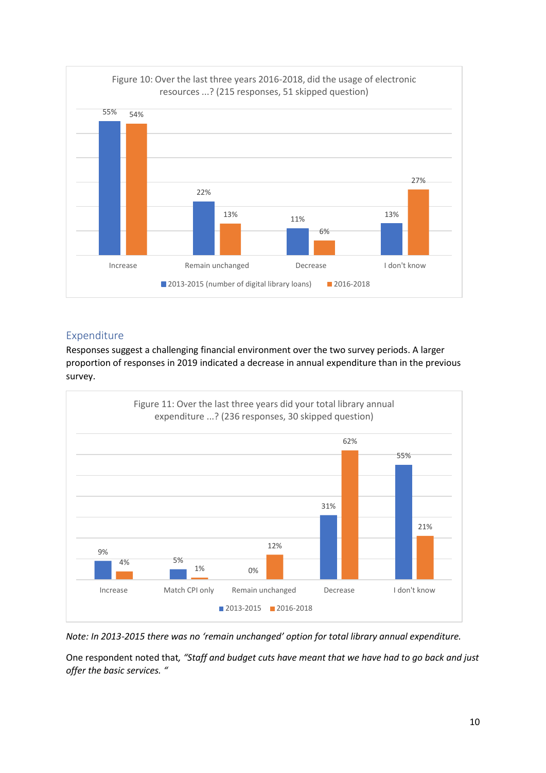

## <span id="page-9-0"></span>Expenditure

Responses suggest a challenging financial environment over the two survey periods. A larger proportion of responses in 2019 indicated a decrease in annual expenditure than in the previous survey.



*Note: In 2013-2015 there was no 'remain unchanged' option for total library annual expenditure.*

One respondent noted that*, "Staff and budget cuts have meant that we have had to go back and just offer the basic services. "*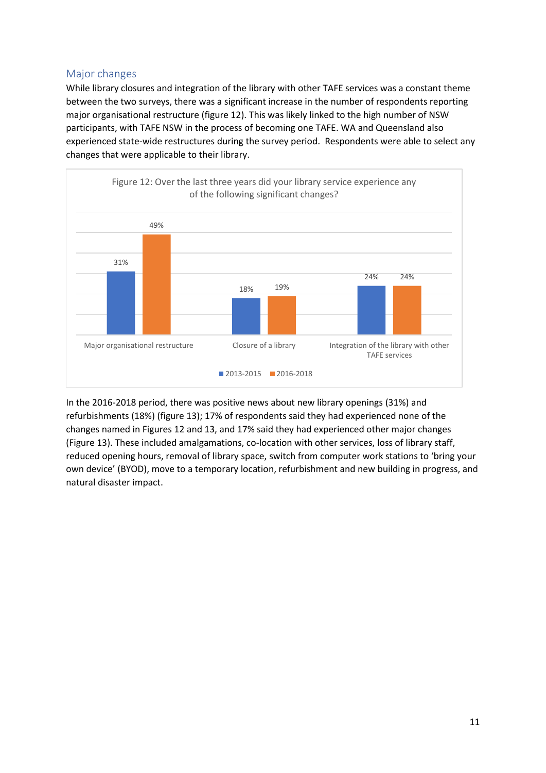## <span id="page-10-0"></span>Major changes

While library closures and integration of the library with other TAFE services was a constant theme between the two surveys, there was a significant increase in the number of respondents reporting major organisational restructure (figure 12). This was likely linked to the high number of NSW participants, with TAFE NSW in the process of becoming one TAFE. WA and Queensland also experienced state-wide restructures during the survey period. Respondents were able to select any changes that were applicable to their library.



In the 2016-2018 period, there was positive news about new library openings (31%) and refurbishments (18%) (figure 13); 17% of respondents said they had experienced none of the changes named in Figures 12 and 13, and 17% said they had experienced other major changes (Figure 13). These included amalgamations, co-location with other services, loss of library staff, reduced opening hours, removal of library space, switch from computer work stations to 'bring your own device' (BYOD), move to a temporary location, refurbishment and new building in progress, and natural disaster impact.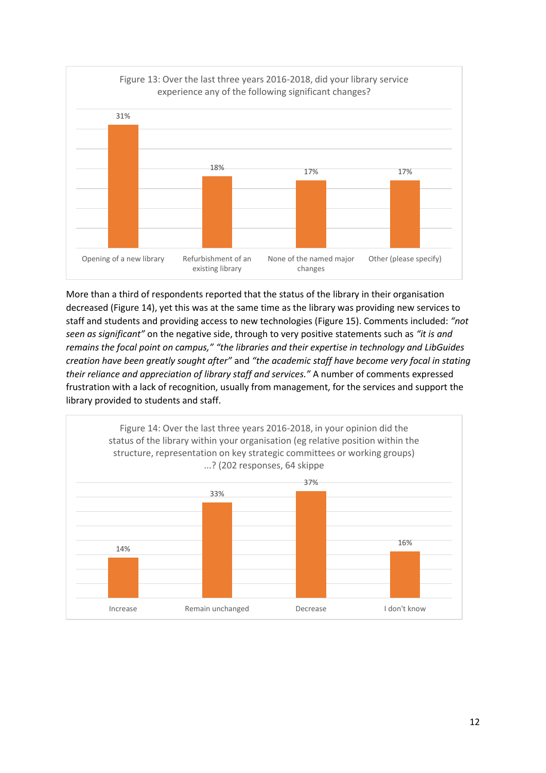

More than a third of respondents reported that the status of the library in their organisation decreased (Figure 14), yet this was at the same time as the library was providing new services to staff and students and providing access to new technologies (Figure 15). Comments included: *"not seen as significant"* on the negative side, through to very positive statements such as *"it is and remains the focal point on campus," "the libraries and their expertise in technology and LibGuides creation have been greatly sought after"* and *"the academic staff have become very focal in stating their reliance and appreciation of library staff and services."* A number of comments expressed frustration with a lack of recognition, usually from management, for the services and support the library provided to students and staff.

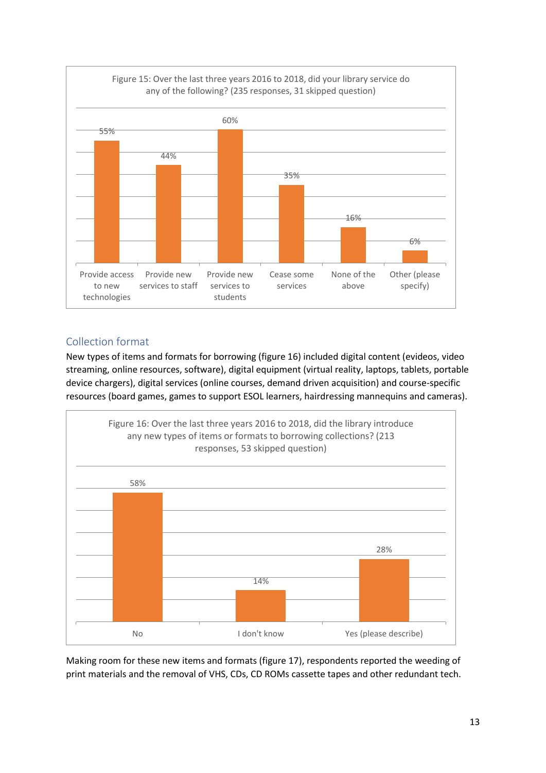

## <span id="page-12-0"></span>Collection format

New types of items and formats for borrowing (figure 16) included digital content (evideos, video streaming, online resources, software), digital equipment (virtual reality, laptops, tablets, portable device chargers), digital services (online courses, demand driven acquisition) and course-specific resources (board games, games to support ESOL learners, hairdressing mannequins and cameras).



Making room for these new items and formats (figure 17), respondents reported the weeding of print materials and the removal of VHS, CDs, CD ROMs cassette tapes and other redundant tech.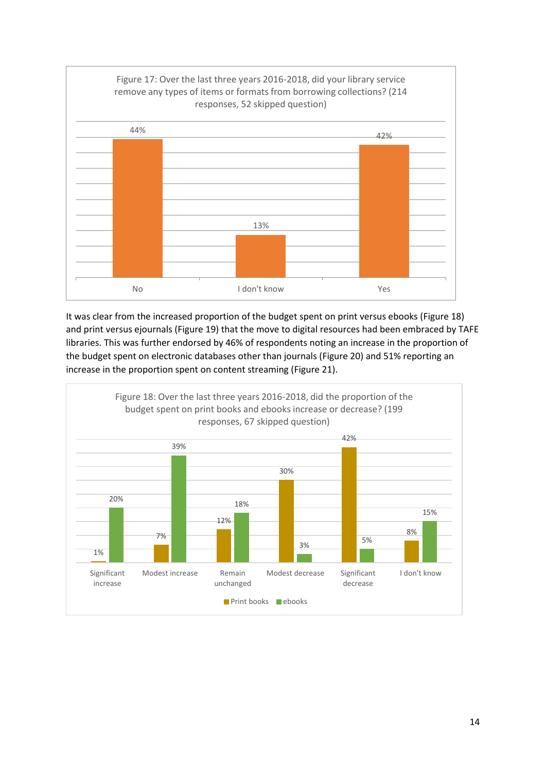

It was clear from the increased proportion of the budget spent on print versus ebooks (Figure 18) and print versus ejournals (Figure 19) that the move to digital resources had been embraced by TAFE libraries. This was further endorsed by 46% of respondents noting an increase in the proportion of the budget spent on electronic databases other than journals (Figure 20) and 51% reporting an increase in the proportion spent on content streaming (Figure 21).

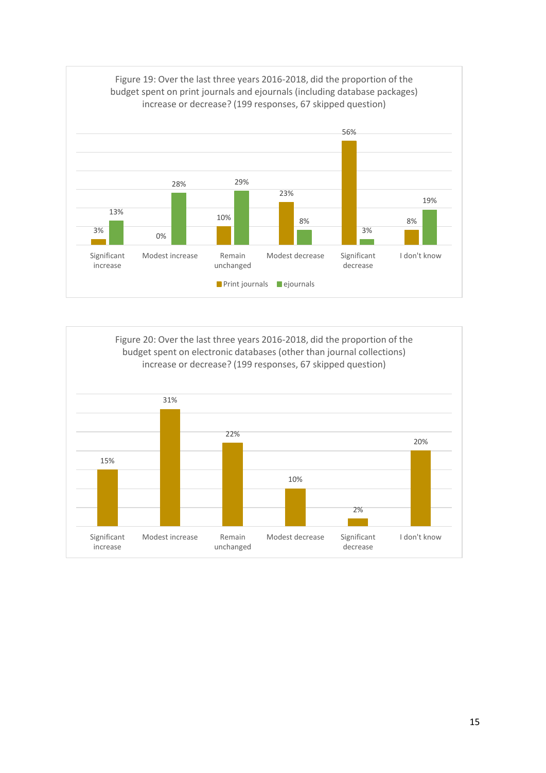

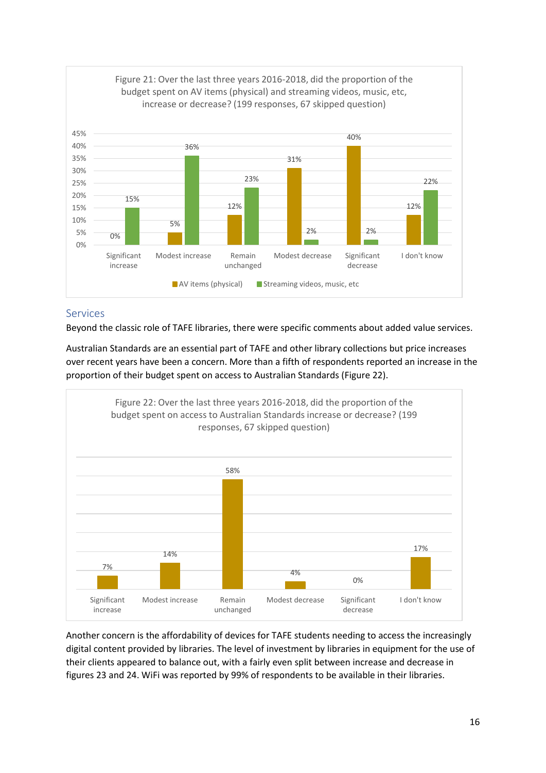

#### <span id="page-15-0"></span>Services

Beyond the classic role of TAFE libraries, there were specific comments about added value services.

Australian Standards are an essential part of TAFE and other library collections but price increases over recent years have been a concern. More than a fifth of respondents reported an increase in the proportion of their budget spent on access to Australian Standards (Figure 22).



Another concern is the affordability of devices for TAFE students needing to access the increasingly digital content provided by libraries. The level of investment by libraries in equipment for the use of their clients appeared to balance out, with a fairly even split between increase and decrease in figures 23 and 24. WiFi was reported by 99% of respondents to be available in their libraries.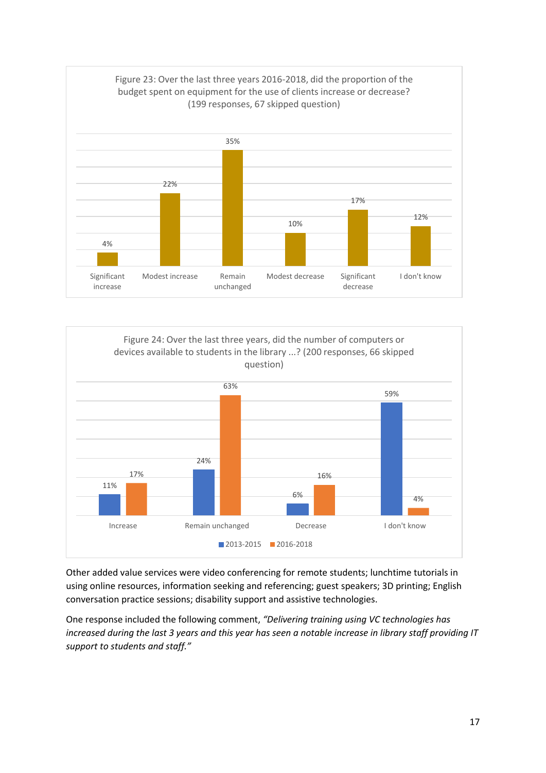



Other added value services were video conferencing for remote students; lunchtime tutorials in using online resources, information seeking and referencing; guest speakers; 3D printing; English conversation practice sessions; disability support and assistive technologies.

One response included the following comment, *"Delivering training using VC technologies has increased during the last 3 years and this year has seen a notable increase in library staff providing IT support to students and staff."*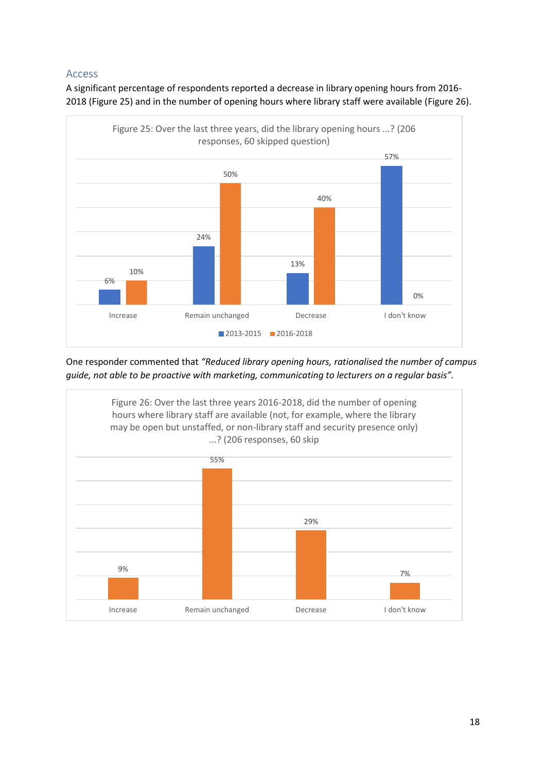## <span id="page-17-0"></span>Access

A significant percentage of respondents reported a decrease in library opening hours from 2016- 2018 (Figure 25) and in the number of opening hours where library staff were available (Figure 26).



One responder commented that *"Reduced library opening hours, rationalised the number of campus guide, not able to be proactive with marketing, communicating to lecturers on a regular basis".*

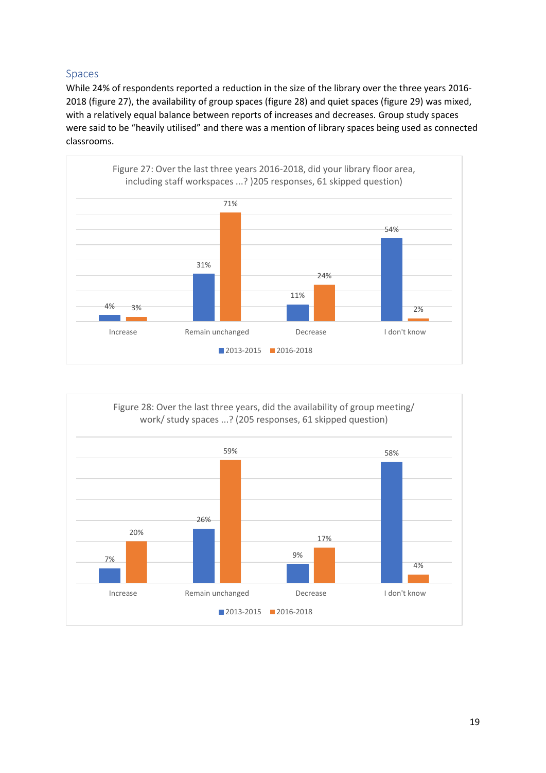## <span id="page-18-0"></span>Spaces

While 24% of respondents reported a reduction in the size of the library over the three years 2016- 2018 (figure 27), the availability of group spaces (figure 28) and quiet spaces (figure 29) was mixed, with a relatively equal balance between reports of increases and decreases. Group study spaces were said to be "heavily utilised" and there was a mention of library spaces being used as connected classrooms.



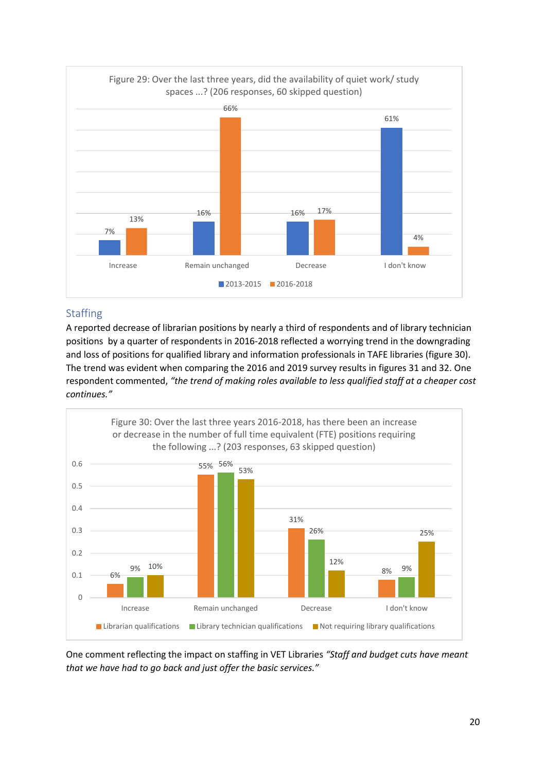

## <span id="page-19-0"></span>Staffing

A reported decrease of librarian positions by nearly a third of respondents and of library technician positions by a quarter of respondents in 2016-2018 reflected a worrying trend in the downgrading and loss of positions for qualified library and information professionals in TAFE libraries (figure 30). The trend was evident when comparing the 2016 and 2019 survey results in figures 31 and 32. One respondent commented, *"the trend of making roles available to less qualified staff at a cheaper cost continues."*



One comment reflecting the impact on staffing in VET Libraries *"Staff and budget cuts have meant that we have had to go back and just offer the basic services."*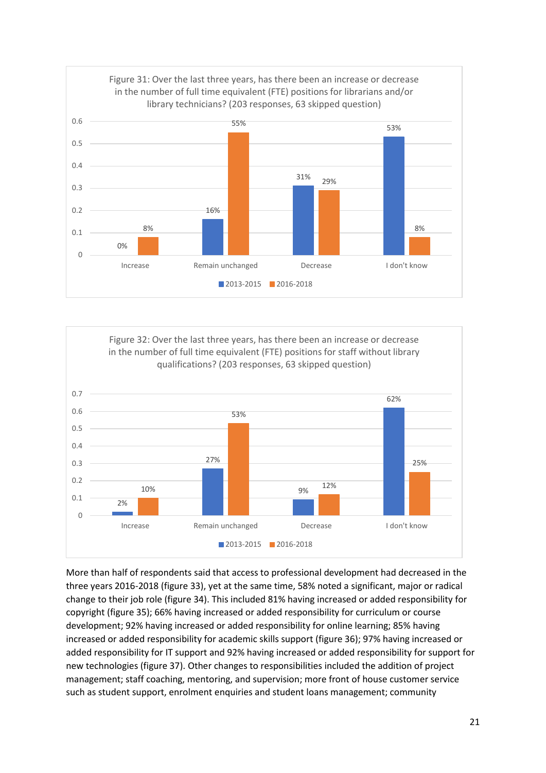



More than half of respondents said that access to professional development had decreased in the three years 2016-2018 (figure 33), yet at the same time, 58% noted a significant, major or radical change to their job role (figure 34). This included 81% having increased or added responsibility for copyright (figure 35); 66% having increased or added responsibility for curriculum or course development; 92% having increased or added responsibility for online learning; 85% having increased or added responsibility for academic skills support (figure 36); 97% having increased or added responsibility for IT support and 92% having increased or added responsibility for support for new technologies (figure 37). Other changes to responsibilities included the addition of project management; staff coaching, mentoring, and supervision; more front of house customer service such as student support, enrolment enquiries and student loans management; community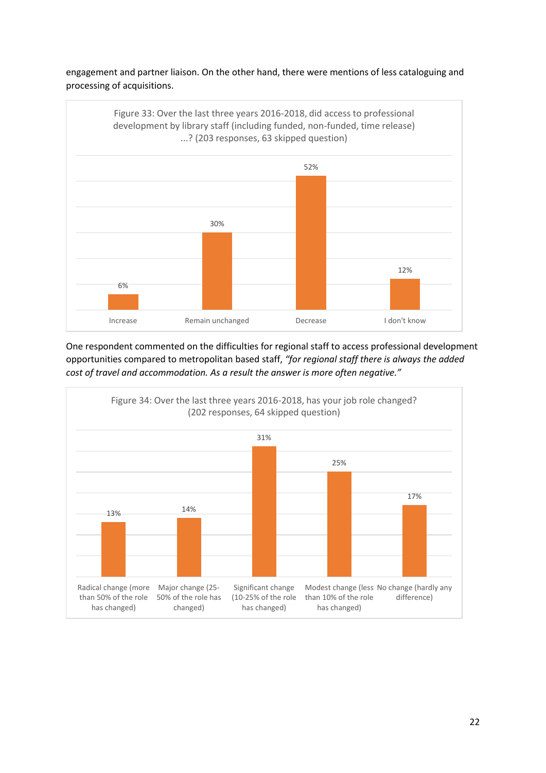engagement and partner liaison. On the other hand, there were mentions of less cataloguing and processing of acquisitions.



One respondent commented on the difficulties for regional staff to access professional development opportunities compared to metropolitan based staff, *"for regional staff there is always the added cost of travel and accommodation. As a result the answer is more often negative."*

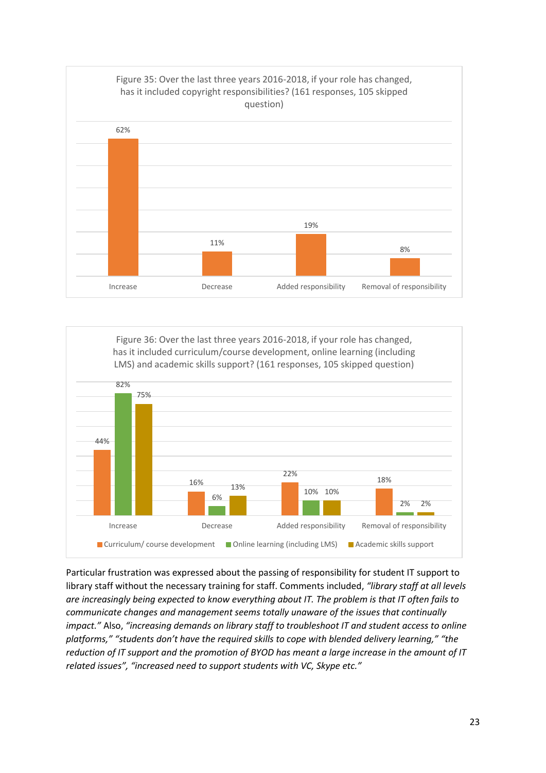



Particular frustration was expressed about the passing of responsibility for student IT support to library staff without the necessary training for staff. Comments included, *"library staff at all levels are increasingly being expected to know everything about IT. The problem is that IT often fails to communicate changes and management seems totally unaware of the issues that continually impact."* Also, *"increasing demands on library staff to troubleshoot IT and student access to online platforms," "students don't have the required skills to cope with blended delivery learning," "the reduction of IT support and the promotion of BYOD has meant a large increase in the amount of IT related issues", "increased need to support students with VC, Skype etc."*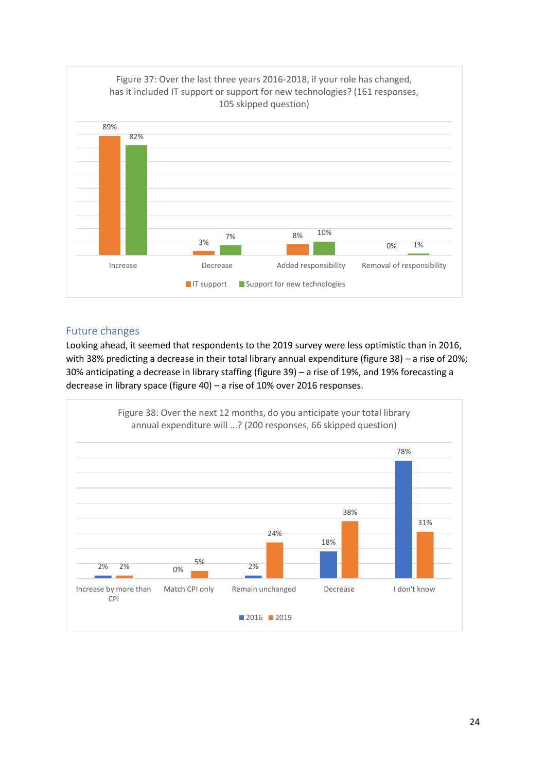

## <span id="page-23-0"></span>Future changes

Looking ahead, it seemed that respondents to the 2019 survey were less optimistic than in 2016, with 38% predicting a decrease in their total library annual expenditure (figure 38) – a rise of 20%; 30% anticipating a decrease in library staffing (figure 39) – a rise of 19%, and 19% forecasting a decrease in library space (figure 40) – a rise of 10% over 2016 responses.

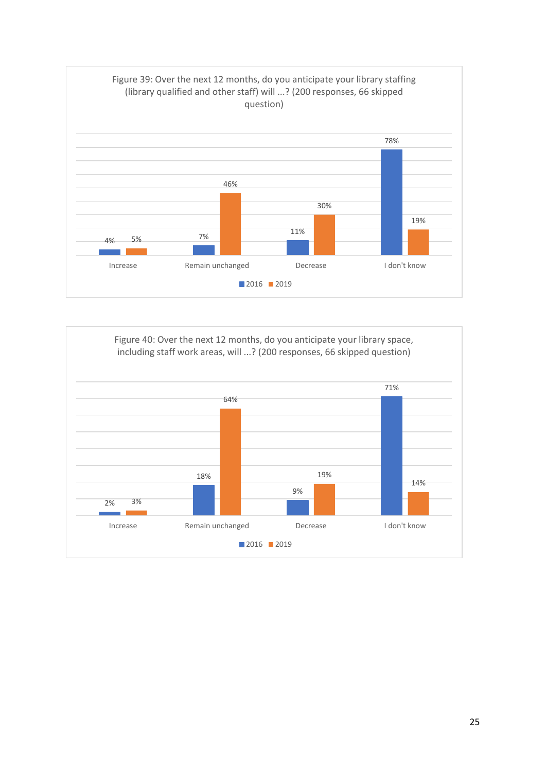

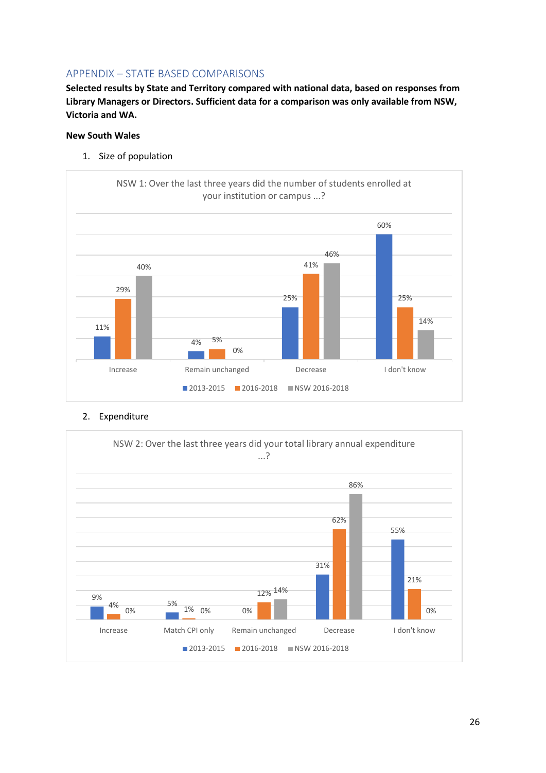## <span id="page-25-0"></span>APPENDIX – STATE BASED COMPARISONS

**Selected results by State and Territory compared with national data, based on responses from Library Managers or Directors. Sufficient data for a comparison was only available from NSW, Victoria and WA.**

#### **New South Wales**

1. Size of population



#### 2. Expenditure

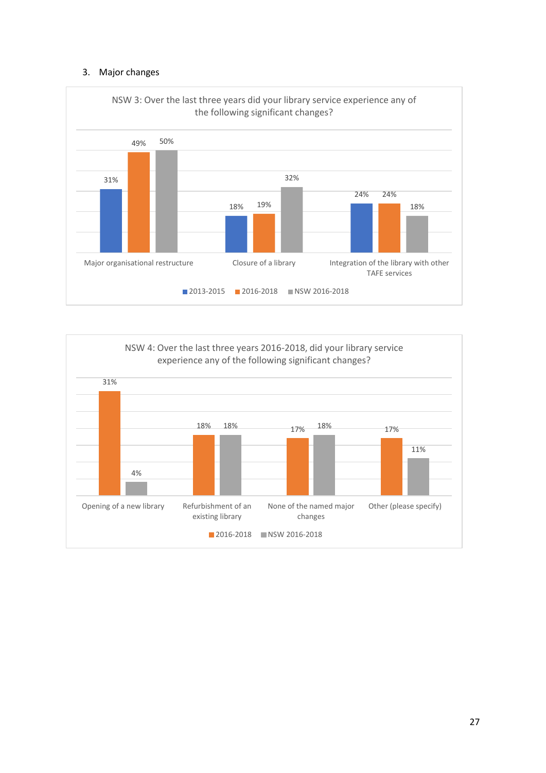#### 3. Major changes



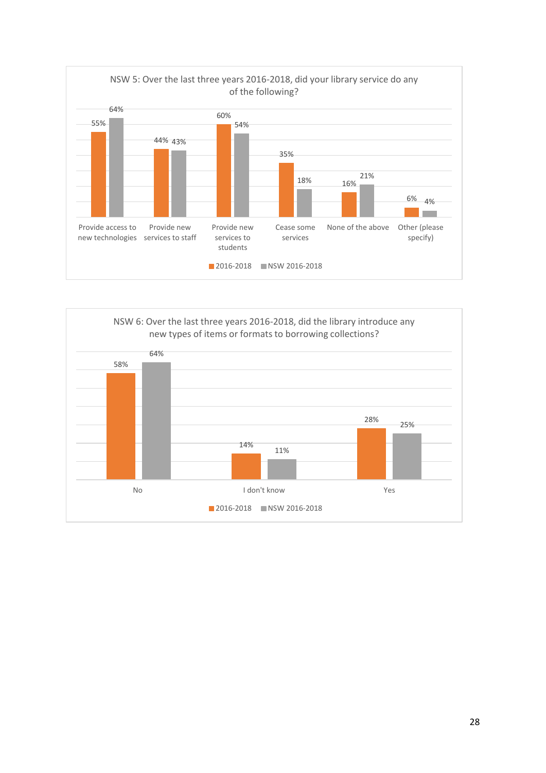

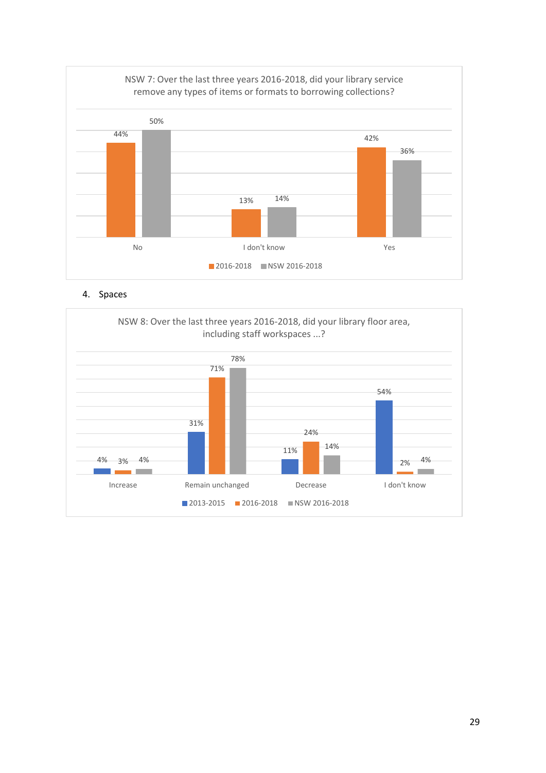

4. Spaces

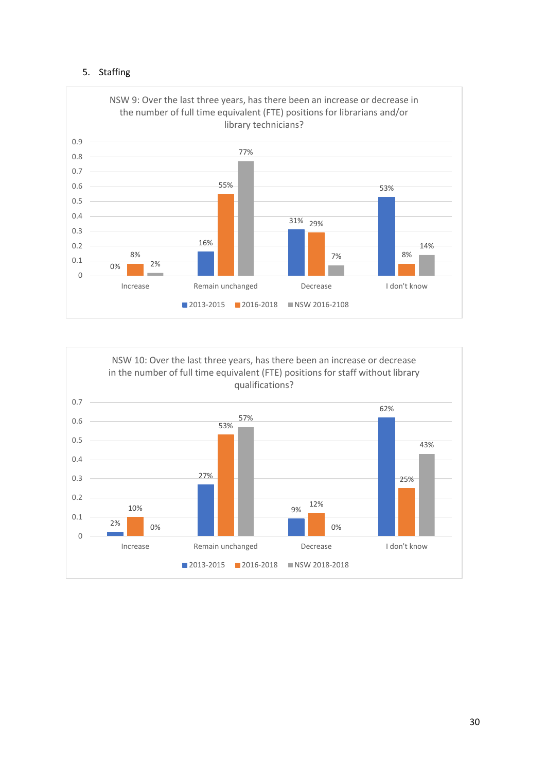#### 5. Staffing



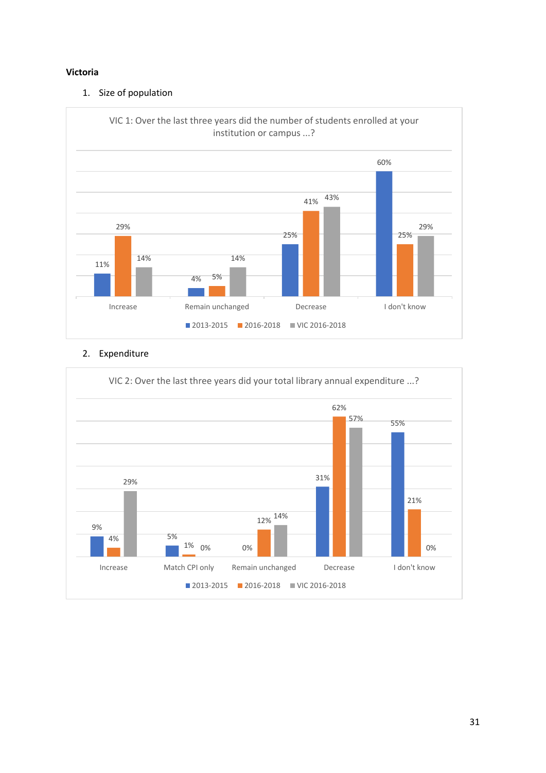#### **Victoria**

#### 1. Size of population



#### 2. Expenditure

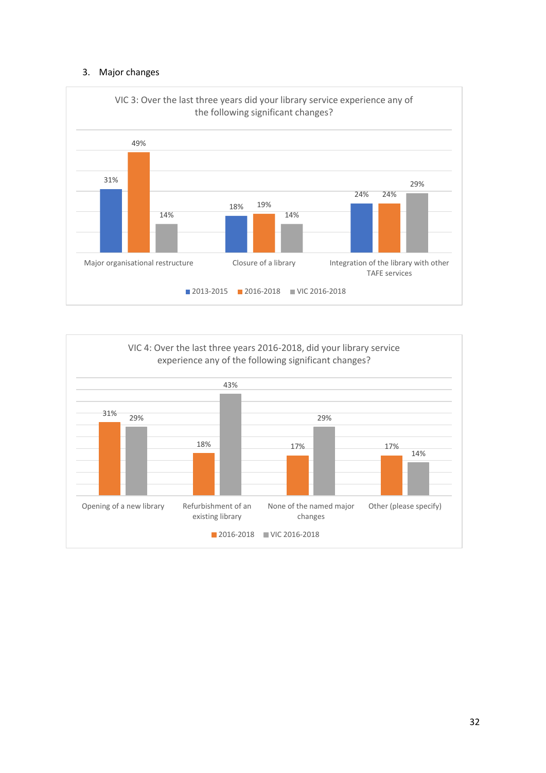#### 3. Major changes



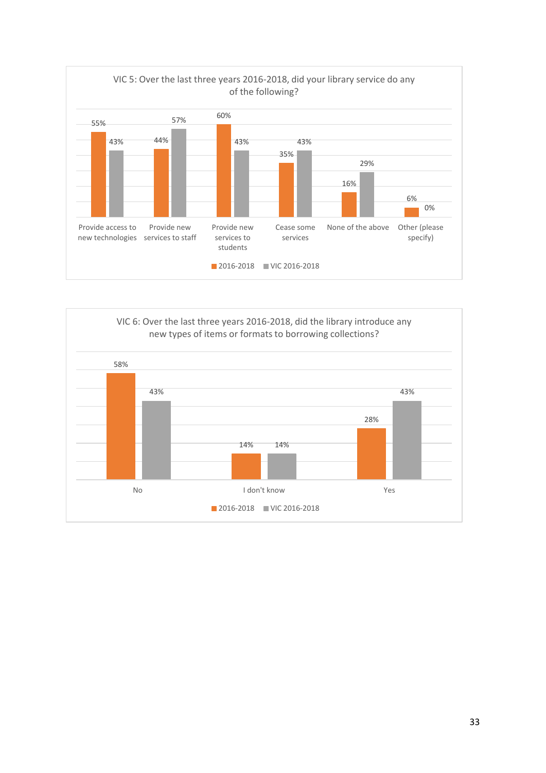

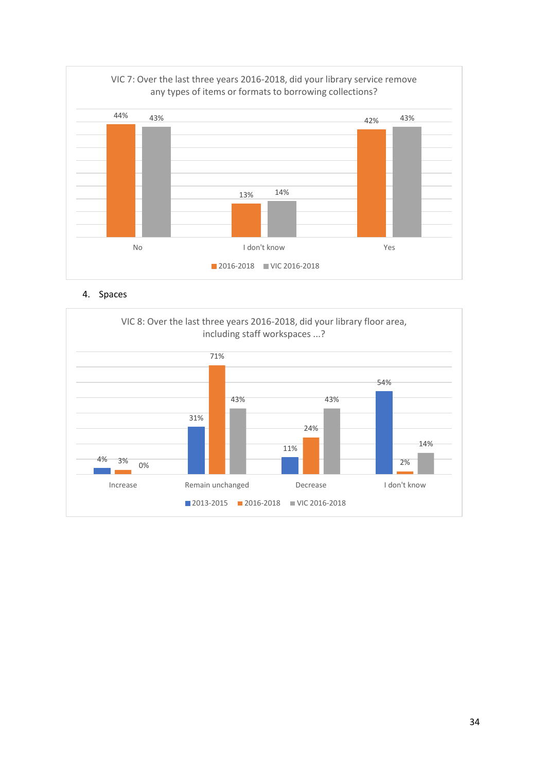

4. Spaces

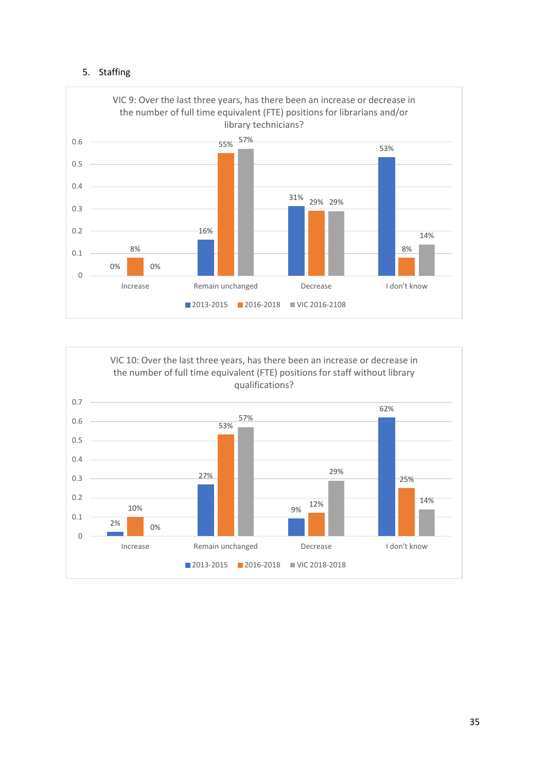#### 5. Staffing



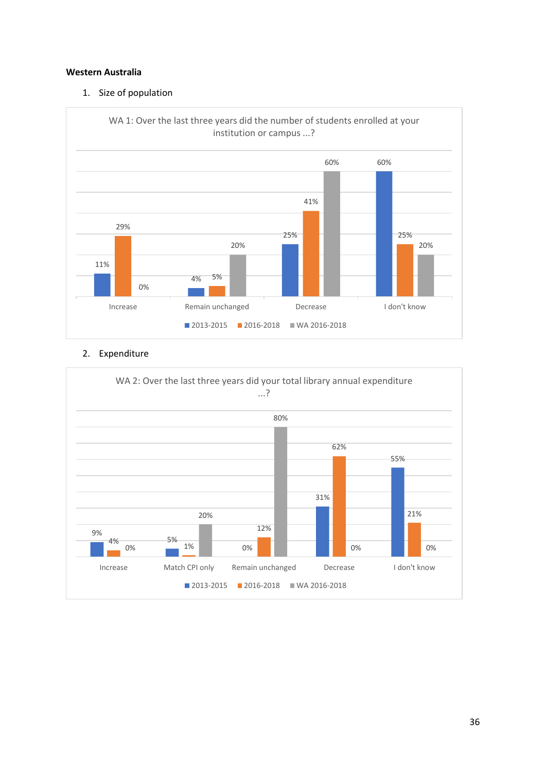#### **Western Australia**

#### 1. Size of population

![](_page_35_Figure_2.jpeg)

#### 2. Expenditure

![](_page_35_Figure_4.jpeg)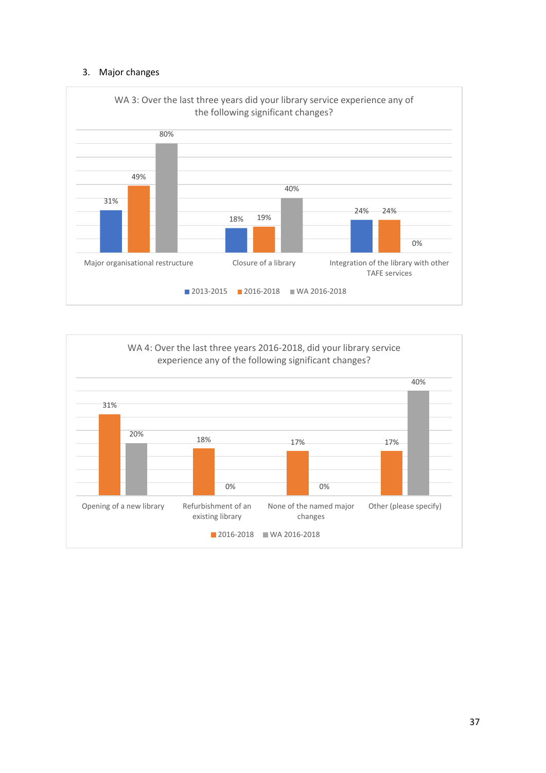#### 3. Major changes

![](_page_36_Figure_1.jpeg)

![](_page_36_Figure_2.jpeg)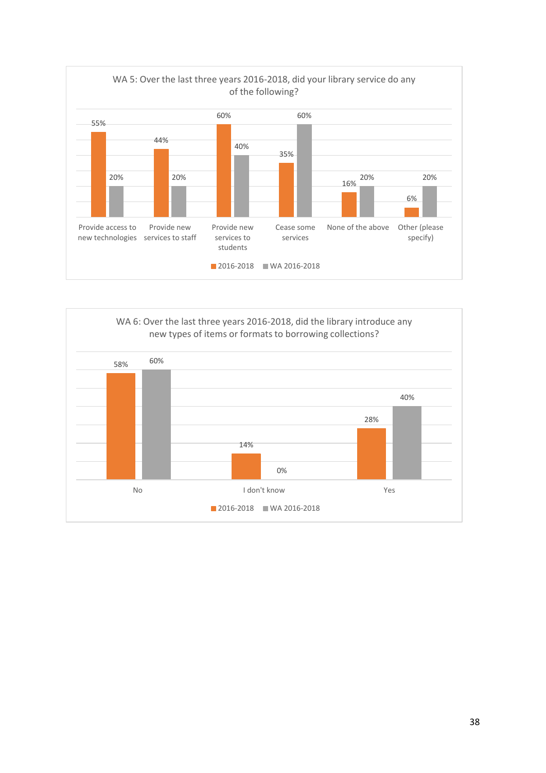![](_page_37_Figure_0.jpeg)

![](_page_37_Figure_1.jpeg)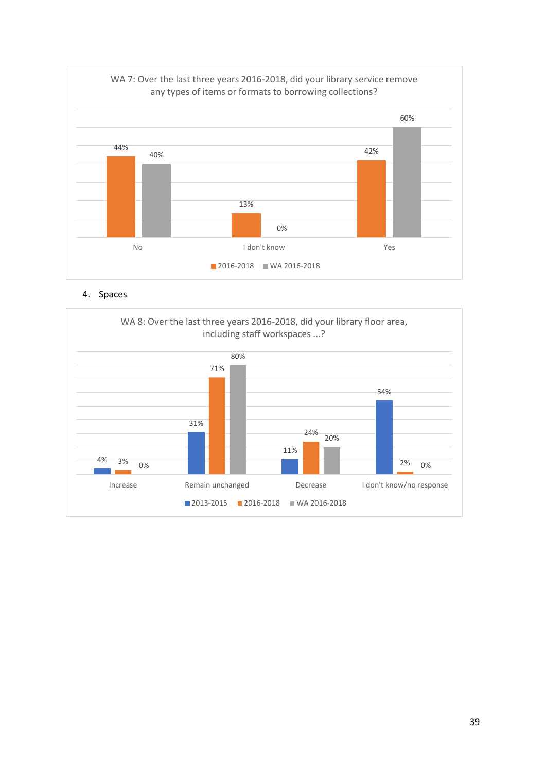![](_page_38_Figure_0.jpeg)

4. Spaces

![](_page_38_Figure_2.jpeg)